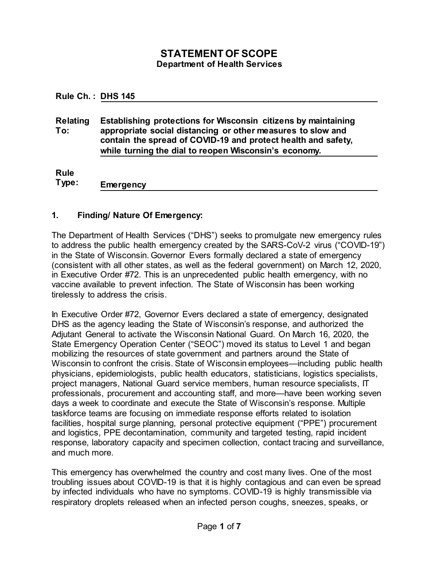# **STATEMENT OF SCOPE Department of Health Services**

**Rule Ch. : DHS 145**

**Relating To: Establishing protections for Wisconsin citizens by maintaining appropriate social distancing or other measures to slow and contain the spread of COVID-19 and protect health and safety, while turning the dial to reopen Wisconsin's economy.**

**Rule** 

**Type: Emergency**

## **1. Finding/ Nature Of Emergency:**

The Department of Health Services ("DHS") seeks to promulgate new emergency rules to address the public health emergency created by the SARS-CoV-2 virus ("COVID-19") in the State of Wisconsin. Governor Evers formally declared a state of emergency (consistent with all other states, as well as the federal government) on March 12, 2020, in Executive Order #72. This is an unprecedented public health emergency, with no vaccine available to prevent infection. The State of Wisconsin has been working tirelessly to address the crisis.

In Executive Order #72, Governor Evers declared a state of emergency, designated DHS as the agency leading the State of Wisconsin's response, and authorized the Adjutant General to activate the Wisconsin National Guard. On March 16, 2020, the State Emergency Operation Center ("SEOC") moved its status to Level 1 and began mobilizing the resources of state government and partners around the State of Wisconsin to confront the crisis. State of Wisconsin employees—including public health physicians, epidemiologists, public health educators, statisticians, logistics specialists, project managers, National Guard service members, human resource specialists, IT professionals, procurement and accounting staff, and more—have been working seven days a week to coordinate and execute the State of Wisconsin's response. Multiple taskforce teams are focusing on immediate response efforts related to isolation facilities, hospital surge planning, personal protective equipment ("PPE") procurement and logistics, PPE decontamination, community and targeted testing, rapid incident response, laboratory capacity and specimen collection, contact tracing and surveillance, and much more.

This emergency has overwhelmed the country and cost many lives. One of the most troubling issues about COVID-19 is that it is highly contagious and can even be spread by infected individuals who have no symptoms. COVID-19 is highly transmissible via respiratory droplets released when an infected person coughs, sneezes, speaks, or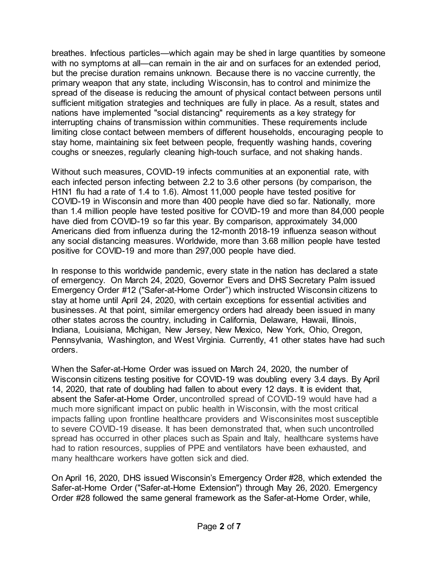breathes. Infectious particles—which again may be shed in large quantities by someone with no symptoms at all—can remain in the air and on surfaces for an extended period, but the precise duration remains unknown. Because there is no vaccine currently, the primary weapon that any state, including Wisconsin, has to control and minimize the spread of the disease is reducing the amount of physical contact between persons until sufficient mitigation strategies and techniques are fully in place. As a result, states and nations have implemented "social distancing" requirements as a key strategy for interrupting chains of transmission within communities. These requirements include limiting close contact between members of different households, encouraging people to stay home, maintaining six feet between people, frequently washing hands, covering coughs or sneezes, regularly cleaning high-touch surface, and not shaking hands.

Without such measures, COVID-19 infects communities at an exponential rate, with each infected person infecting between 2.2 to 3.6 other persons (by comparison, the H1N1 flu had a rate of 1.4 to 1.6). Almost 11,000 people have tested positive for COVID-19 in Wisconsin and more than 400 people have died so far. Nationally, more than 1.4 million people have tested positive for COVID-19 and more than 84,000 people have died from COVID-19 so far this year. By comparison, approximately 34,000 Americans died from influenza during the 12-month 2018-19 influenza season without any social distancing measures. Worldwide, more than 3.68 million people have tested positive for COVID-19 and more than 297,000 people have died.

In response to this worldwide pandemic, every state in the nation has declared a state of emergency. On March 24, 2020, Governor Evers and DHS Secretary Palm issued Emergency Order #12 ("Safer-at-Home Order") which instructed Wisconsin citizens to stay at home until April 24, 2020, with certain exceptions for essential activities and businesses. At that point, similar emergency orders had already been issued in many other states across the country, including in California, Delaware, Hawaii, Illinois, Indiana, Louisiana, Michigan, New Jersey, New Mexico, New York, Ohio, Oregon, Pennsylvania, Washington, and West Virginia. Currently, 41 other states have had such orders.

When the Safer-at-Home Order was issued on March 24, 2020, the number of Wisconsin citizens testing positive for COVID-19 was doubling every 3.4 days. By April 14, 2020, that rate of doubling had fallen to about every 12 days. It is evident that, absent the Safer-at-Home Order, uncontrolled spread of COVID-19 would have had a much more significant impact on public health in Wisconsin, with the most critical impacts falling upon frontline healthcare providers and Wisconsinites most susceptible to severe COVID-19 disease. It has been demonstrated that, when such uncontrolled spread has occurred in other places such as Spain and Italy, healthcare systems have had to ration resources, supplies of PPE and ventilators have been exhausted, and many healthcare workers have gotten sick and died.

On April 16, 2020, DHS issued Wisconsin's Emergency Order #28, which extended the Safer-at-Home Order ("Safer-at-Home Extension") through May 26, 2020. Emergency Order #28 followed the same general framework as the Safer-at-Home Order, while,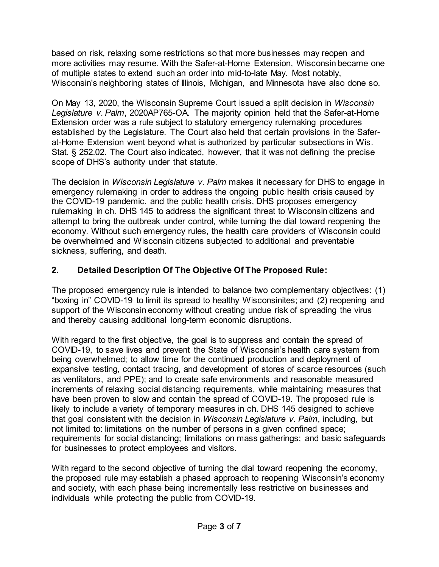based on risk, relaxing some restrictions so that more businesses may reopen and more activities may resume. With the Safer-at-Home Extension, Wisconsin became one of multiple states to extend such an order into mid-to-late May. Most notably, Wisconsin's neighboring states of Illinois, Michigan, and Minnesota have also done so.

On May 13, 2020, the Wisconsin Supreme Court issued a split decision in *Wisconsin Legislature v. Palm*, 2020AP765-OA. The majority opinion held that the Safer-at-Home Extension order was a rule subject to statutory emergency rulemaking procedures established by the Legislature. The Court also held that certain provisions in the Saferat-Home Extension went beyond what is authorized by particular subsections in Wis. Stat. § 252.02. The Court also indicated, however, that it was not defining the precise scope of DHS's authority under that statute.

The decision in *Wisconsin Legislature v. Palm* makes it necessary for DHS to engage in emergency rulemaking in order to address the ongoing public health crisis caused by the COVID-19 pandemic. and the public health crisis, DHS proposes emergency rulemaking in ch. DHS 145 to address the significant threat to Wisconsin citizens and attempt to bring the outbreak under control, while turning the dial toward reopening the economy. Without such emergency rules, the health care providers of Wisconsin could be overwhelmed and Wisconsin citizens subjected to additional and preventable sickness, suffering, and death.

# **2. Detailed Description Of The Objective Of The Proposed Rule:**

The proposed emergency rule is intended to balance two complementary objectives: (1) "boxing in" COVID-19 to limit its spread to healthy Wisconsinites; and (2) reopening and support of the Wisconsin economy without creating undue risk of spreading the virus and thereby causing additional long-term economic disruptions.

With regard to the first objective, the goal is to suppress and contain the spread of COVID-19, to save lives and prevent the State of Wisconsin's health care system from being overwhelmed; to allow time for the continued production and deployment of expansive testing, contact tracing, and development of stores of scarce resources (such as ventilators, and PPE); and to create safe environments and reasonable measured increments of relaxing social distancing requirements, while maintaining measures that have been proven to slow and contain the spread of COVID-19. The proposed rule is likely to include a variety of temporary measures in ch. DHS 145 designed to achieve that goal consistent with the decision in *Wisconsin Legislature v. Palm*, including, but not limited to: limitations on the number of persons in a given confined space; requirements for social distancing; limitations on mass gatherings; and basic safeguards for businesses to protect employees and visitors.

With regard to the second objective of turning the dial toward reopening the economy, the proposed rule may establish a phased approach to reopening Wisconsin's economy and society, with each phase being incrementally less restrictive on businesses and individuals while protecting the public from COVID-19.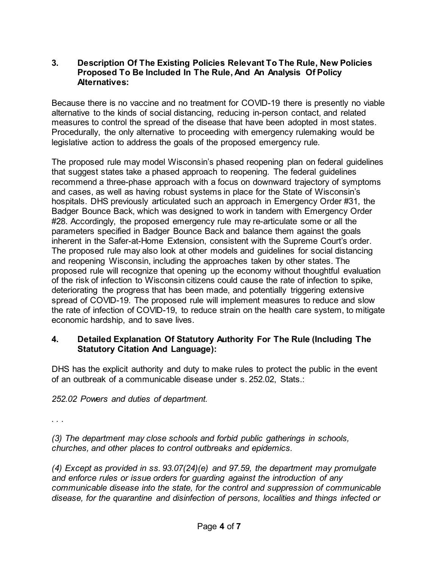## **3. Description Of The Existing Policies Relevant To The Rule, New Policies Proposed To Be Included In The Rule, And An Analysis Of Policy Alternatives:**

Because there is no vaccine and no treatment for COVID-19 there is presently no viable alternative to the kinds of social distancing, reducing in-person contact, and related measures to control the spread of the disease that have been adopted in most states. Procedurally, the only alternative to proceeding with emergency rulemaking would be legislative action to address the goals of the proposed emergency rule.

The proposed rule may model Wisconsin's phased reopening plan on federal guidelines that suggest states take a phased approach to reopening. The federal guidelines recommend a three-phase approach with a focus on downward trajectory of symptoms and cases, as well as having robust systems in place for the State of Wisconsin's hospitals. DHS previously articulated such an approach in Emergency Order #31, the Badger Bounce Back, which was designed to work in tandem with Emergency Order #28. Accordingly, the proposed emergency rule may re-articulate some or all the parameters specified in Badger Bounce Back and balance them against the goals inherent in the Safer-at-Home Extension, consistent with the Supreme Court's order. The proposed rule may also look at other models and guidelines for social distancing and reopening Wisconsin, including the approaches taken by other states. The proposed rule will recognize that opening up the economy without thoughtful evaluation of the risk of infection to Wisconsin citizens could cause the rate of infection to spike, deteriorating the progress that has been made, and potentially triggering extensive spread of COVID-19. The proposed rule will implement measures to reduce and slow the rate of infection of COVID-19, to reduce strain on the health care system, to mitigate economic hardship, and to save lives.

## **4. Detailed Explanation Of Statutory Authority For The Rule (Including The Statutory Citation And Language):**

DHS has the explicit authority and duty to make rules to protect the public in the event of an outbreak of a communicable disease under s. 252.02, Stats.:

*252.02 Powers and duties of department.*

*. . .* 

*(3) The department may close schools and forbid public gatherings in schools, churches, and other places to control outbreaks and epidemics.*

*(4) Except as provided in ss. 93.07(24)(e) and 97.59, the department may promulgate and enforce rules or issue orders for guarding against the introduction of any communicable disease into the state, for the control and suppression of communicable disease, for the quarantine and disinfection of persons, localities and things infected or*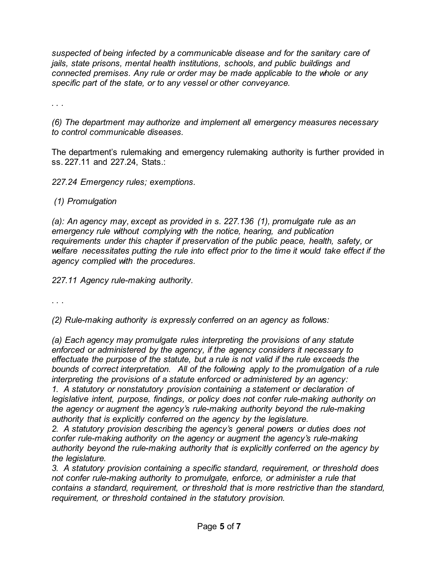*suspected of being infected by a communicable disease and for the sanitary care of jails, state prisons, mental health institutions, schools, and public buildings and connected premises. Any rule or order may be made applicable to the whole or any specific part of the state, or to any vessel or other conveyance.*

*. . .* 

*(6) The department may authorize and implement all emergency measures necessary to control communicable diseases.*

The department's rulemaking and emergency rulemaking authority is further provided in ss. 227.11 and 227.24, Stats.:

*227.24 Emergency rules; exemptions.*

#### *(1) Promulgation*

*(a): An agency may, except as provided in s. 227.136 (1), promulgate rule as an emergency rule without complying with the notice, hearing, and publication requirements under this chapter if preservation of the public peace, health, safety, or*  welfare necessitates putting the rule into effect prior to the time it would take effect if the *agency complied with the procedures.*

*227.11 Agency rule-making authority.*

. . .

*(2) Rule-making authority is expressly conferred on an agency as follows:*

*(a) Each agency may promulgate rules interpreting the provisions of any statute enforced or administered by the agency, if the agency considers it necessary to effectuate the purpose of the statute, but a rule is not valid if the rule exceeds the bounds of correct interpretation. All of the following apply to the promulgation of a rule interpreting the provisions of a statute enforced or administered by an agency:*

*1. A statutory or nonstatutory provision containing a statement or declaration of legislative intent, purpose, findings, or policy does not confer rule-making authority on the agency or augment the agency's rule-making authority beyond the rule-making authority that is explicitly conferred on the agency by the legislature.*

*2. A statutory provision describing the agency's general powers or duties does not confer rule-making authority on the agency or augment the agency's rule-making authority beyond the rule-making authority that is explicitly conferred on the agency by the legislature.*

*3. A statutory provision containing a specific standard, requirement, or threshold does not confer rule-making authority to promulgate, enforce, or administer a rule that contains a standard, requirement, or threshold that is more restrictive than the standard, requirement, or threshold contained in the statutory provision.*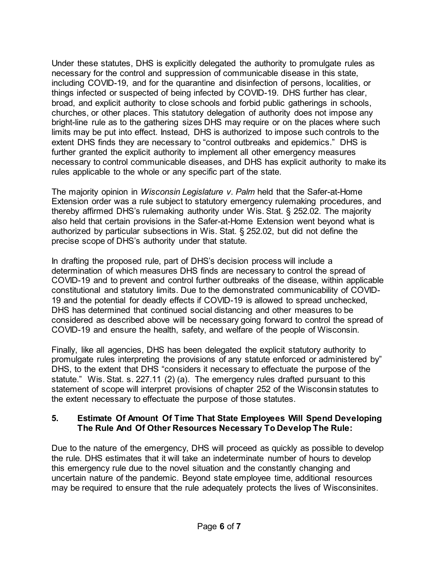Under these statutes, DHS is explicitly delegated the authority to promulgate rules as necessary for the control and suppression of communicable disease in this state, including COVID-19, and for the quarantine and disinfection of persons, localities, or things infected or suspected of being infected by COVID-19. DHS further has clear, broad, and explicit authority to close schools and forbid public gatherings in schools, churches, or other places. This statutory delegation of authority does not impose any bright-line rule as to the gathering sizes DHS may require or on the places where such limits may be put into effect. Instead, DHS is authorized to impose such controls to the extent DHS finds they are necessary to "control outbreaks and epidemics." DHS is further granted the explicit authority to implement all other emergency measures necessary to control communicable diseases, and DHS has explicit authority to make its rules applicable to the whole or any specific part of the state.

The majority opinion in *Wisconsin Legislature v. Palm* held that the Safer-at-Home Extension order was a rule subject to statutory emergency rulemaking procedures, and thereby affirmed DHS's rulemaking authority under Wis. Stat. § 252.02. The majority also held that certain provisions in the Safer-at-Home Extension went beyond what is authorized by particular subsections in Wis. Stat. § 252.02, but did not define the precise scope of DHS's authority under that statute.

In drafting the proposed rule, part of DHS's decision process will include a determination of which measures DHS finds are necessary to control the spread of COVID-19 and to prevent and control further outbreaks of the disease, within applicable constitutional and statutory limits. Due to the demonstrated communicability of COVID-19 and the potential for deadly effects if COVID-19 is allowed to spread unchecked, DHS has determined that continued social distancing and other measures to be considered as described above will be necessary going forward to control the spread of COVID-19 and ensure the health, safety, and welfare of the people of Wisconsin.

Finally, like all agencies, DHS has been delegated the explicit statutory authority to promulgate rules interpreting the provisions of any statute enforced or administered by" DHS, to the extent that DHS "considers it necessary to effectuate the purpose of the statute." Wis. Stat. s. 227.11 (2) (a). The emergency rules drafted pursuant to this statement of scope will interpret provisions of chapter 252 of the Wisconsin statutes to the extent necessary to effectuate the purpose of those statutes.

## **5. Estimate Of Amount Of Time That State Employees Will Spend Developing The Rule And Of Other Resources Necessary To Develop The Rule:**

Due to the nature of the emergency, DHS will proceed as quickly as possible to develop the rule. DHS estimates that it will take an indeterminate number of hours to develop this emergency rule due to the novel situation and the constantly changing and uncertain nature of the pandemic. Beyond state employee time, additional resources may be required to ensure that the rule adequately protects the lives of Wisconsinites.